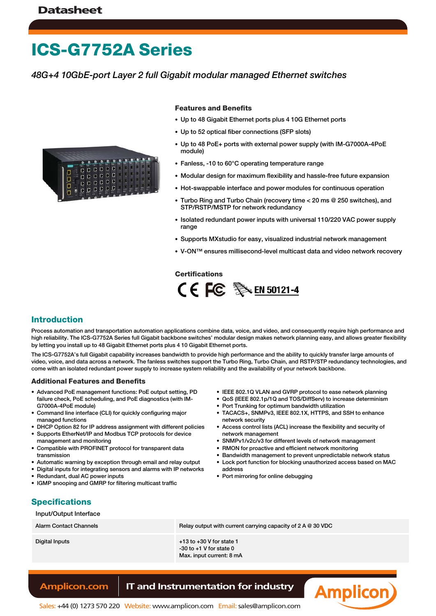# **ICS-G7752A Series**

### *48G+4 10GbE-port Layer 2 full Gigabit modular managed Ethernet switches*



#### **Features and Benefits**

- Up to 48 Gigabit Ethernet ports plus 4 10G Ethernet ports
- Up to 52 optical fiber connections (SFP slots)
- Up to 48 PoE+ ports with external power supply (with IM-G7000A-4PoE module)
- Fanless, -10 to 60°C operating temperature range
- Modular design for maximum flexibility and hassle-free future expansion
- Hot-swappable interface and power modules for continuous operation
- Turbo Ring and Turbo Chain (recovery time < 20 ms @ 250 switches), and STP/RSTP/MSTP for network redundancy
- Isolated redundant power inputs with universal 110/220 VAC power supply range
- Supports MXstudio for easy, visualized industrial network management
- V-ON™ ensures millisecond-level multicast data and video network recovery

#### **Certifications**



#### **Introduction**

Process automation and transportation automation applications combine data, voice, and video, and consequently require high performance and high reliability. The ICS-G7752A Series full Gigabit backbone switches' modular design makes network planning easy, and allows greater flexibility by letting you install up to 48 Gigabit Ethernet ports plus 4 10 Gigabit Ethernet ports.

The ICS-G7752A's full Gigabit capability increases bandwidth to provide high performance and the ability to quickly transfer large amounts of video, voice, and data across a network. The fanless switches support the Turbo Ring, Turbo Chain, and RSTP/STP redundancy technologies, and come with an isolated redundant power supply to increase system reliability and the availability of your network backbone.

#### **Additional Features and Benefits**

- Advanced PoE management functions: PoE output setting, PD failure check, PoE scheduling, and PoE diagnostics (with IM-G7000A-4PoE module)
- Command line interface (CLI) for quickly configuring major managed functions
- DHCP Option 82 for IP address assignment with different policies
- Supports EtherNet/IP and Modbus TCP protocols for device management and monitoring
- Compatible with PROFINET protocol for transparent data transmission
- Automatic warning by exception through email and relay output
- Digital inputs for integrating sensors and alarms with IP networks
- Redundant, dual AC power inputs • IGMP snooping and GMRP for filtering multicast traffic
- Port Trunking for optimum bandwidth utilization • TACACS+, SNMPv3, IEEE 802.1X, HTTPS, and SSH to enhance
	- network security

• IEEE 802.1Q VLAN and GVRP protocol to ease network planning • QoS (IEEE 802.1p/1Q and TOS/DiffServ) to increase determinism

- Access control lists (ACL) increase the flexibility and security of network management
- SNMPv1/v2c/v3 for different levels of network management
- RMON for proactive and efficient network monitoring
- Bandwidth management to prevent unpredictable network status
- Lock port function for blocking unauthorized access based on MAC address
- Port mirroring for online debugging

#### **Specifications**

#### Input/Output Interface

| <b>Alarm Contact Channels</b> | Relay output with current carrying capacity of $2 A @ 30 VDC$                           |
|-------------------------------|-----------------------------------------------------------------------------------------|
| Digital Inputs                | $+13$ to $+30$ V for state 1<br>$-30$ to $+1$ V for state 0<br>Max. input current: 8 mA |

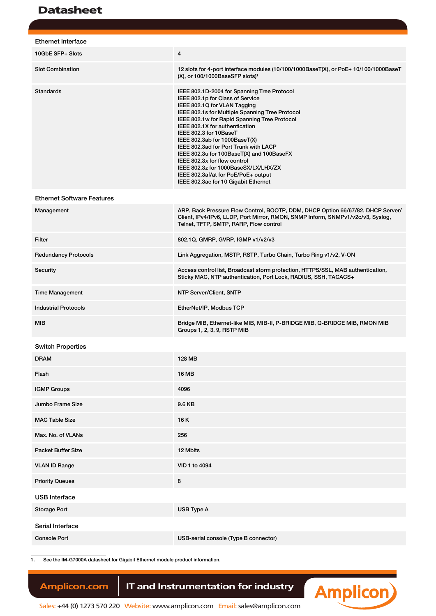| <b>Ethernet Interface</b>         |                                                                                                                                                                                                                                                                                                                                                                                                                                                                                                                                                              |
|-----------------------------------|--------------------------------------------------------------------------------------------------------------------------------------------------------------------------------------------------------------------------------------------------------------------------------------------------------------------------------------------------------------------------------------------------------------------------------------------------------------------------------------------------------------------------------------------------------------|
| 10GbE SFP+ Slots                  | 4                                                                                                                                                                                                                                                                                                                                                                                                                                                                                                                                                            |
| <b>Slot Combination</b>           | 12 slots for 4-port interface modules (10/100/1000BaseT(X), or PoE+ 10/100/1000BaseT<br>(X), or 100/1000BaseSFP slots) <sup>1</sup>                                                                                                                                                                                                                                                                                                                                                                                                                          |
| <b>Standards</b>                  | IEEE 802.1D-2004 for Spanning Tree Protocol<br>IEEE 802.1p for Class of Service<br>IEEE 802.1Q for VLAN Tagging<br>IEEE 802.1s for Multiple Spanning Tree Protocol<br>IEEE 802.1w for Rapid Spanning Tree Protocol<br>IEEE 802.1X for authentication<br>IEEE 802.3 for 10BaseT<br>IEEE 802.3ab for 1000BaseT(X)<br>IEEE 802.3ad for Port Trunk with LACP<br>IEEE 802.3u for 100BaseT(X) and 100BaseFX<br>IEEE 802.3x for flow control<br>IEEE 802.3z for 1000BaseSX/LX/LHX/ZX<br>IEEE 802.3af/at for PoE/PoE+ output<br>IEEE 802.3ae for 10 Gigabit Ethernet |
| <b>Ethernet Software Features</b> |                                                                                                                                                                                                                                                                                                                                                                                                                                                                                                                                                              |
| Management                        | ARP, Back Pressure Flow Control, BOOTP, DDM, DHCP Option 66/67/82, DHCP Server/<br>Client, IPv4/IPv6, LLDP, Port Mirror, RMON, SNMP Inform, SNMPv1/v2c/v3, Syslog,<br>Telnet, TFTP, SMTP, RARP, Flow control                                                                                                                                                                                                                                                                                                                                                 |
| Filter                            | 802.1Q, GMRP, GVRP, IGMP v1/v2/v3                                                                                                                                                                                                                                                                                                                                                                                                                                                                                                                            |
| <b>Redundancy Protocols</b>       | Link Aggregation, MSTP, RSTP, Turbo Chain, Turbo Ring v1/v2, V-ON                                                                                                                                                                                                                                                                                                                                                                                                                                                                                            |
| Security                          | Access control list, Broadcast storm protection, HTTPS/SSL, MAB authentication,<br>Sticky MAC, NTP authentication, Port Lock, RADIUS, SSH, TACACS+                                                                                                                                                                                                                                                                                                                                                                                                           |
| <b>Time Management</b>            | NTP Server/Client, SNTP                                                                                                                                                                                                                                                                                                                                                                                                                                                                                                                                      |
| <b>Industrial Protocols</b>       | EtherNet/IP, Modbus TCP                                                                                                                                                                                                                                                                                                                                                                                                                                                                                                                                      |
| MIB                               | Bridge MIB, Ethernet-like MIB, MIB-II, P-BRIDGE MIB, Q-BRIDGE MIB, RMON MIB<br>Groups 1, 2, 3, 9, RSTP MIB                                                                                                                                                                                                                                                                                                                                                                                                                                                   |
| <b>Switch Properties</b>          |                                                                                                                                                                                                                                                                                                                                                                                                                                                                                                                                                              |
| <b>DRAM</b>                       | 128 MB                                                                                                                                                                                                                                                                                                                                                                                                                                                                                                                                                       |
| Flash                             | 16 MB                                                                                                                                                                                                                                                                                                                                                                                                                                                                                                                                                        |
| <b>IGMP Groups</b>                | 4096                                                                                                                                                                                                                                                                                                                                                                                                                                                                                                                                                         |
| Jumbo Frame Size                  | 9.6 KB                                                                                                                                                                                                                                                                                                                                                                                                                                                                                                                                                       |
| <b>MAC Table Size</b>             | 16 K                                                                                                                                                                                                                                                                                                                                                                                                                                                                                                                                                         |
| Max. No. of VLANs                 | 256                                                                                                                                                                                                                                                                                                                                                                                                                                                                                                                                                          |
| <b>Packet Buffer Size</b>         | 12 Mbits                                                                                                                                                                                                                                                                                                                                                                                                                                                                                                                                                     |
| <b>VLAN ID Range</b>              | VID 1 to 4094                                                                                                                                                                                                                                                                                                                                                                                                                                                                                                                                                |
| <b>Priority Queues</b>            | 8                                                                                                                                                                                                                                                                                                                                                                                                                                                                                                                                                            |
| <b>USB Interface</b>              |                                                                                                                                                                                                                                                                                                                                                                                                                                                                                                                                                              |
| <b>Storage Port</b>               | USB Type A                                                                                                                                                                                                                                                                                                                                                                                                                                                                                                                                                   |
| Serial Interface                  |                                                                                                                                                                                                                                                                                                                                                                                                                                                                                                                                                              |
| <b>Console Port</b>               | USB-serial console (Type B connector)                                                                                                                                                                                                                                                                                                                                                                                                                                                                                                                        |

1. See the IM-G7000A datasheet for Gigabit Ethernet module product information.

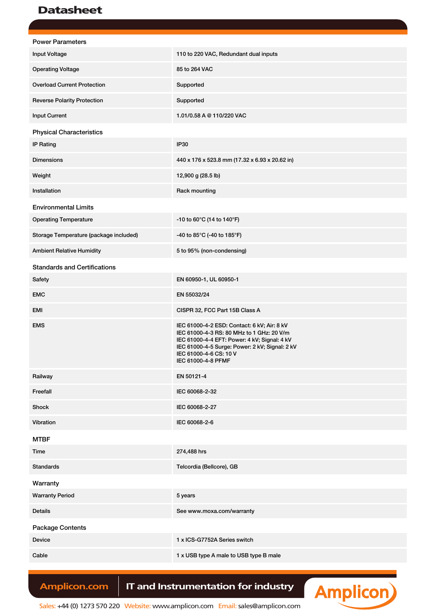| <b>Power Parameters</b>                |                                                                                                                                                                                                                                            |
|----------------------------------------|--------------------------------------------------------------------------------------------------------------------------------------------------------------------------------------------------------------------------------------------|
| Input Voltage                          | 110 to 220 VAC, Redundant dual inputs                                                                                                                                                                                                      |
| <b>Operating Voltage</b>               | 85 to 264 VAC                                                                                                                                                                                                                              |
| <b>Overload Current Protection</b>     | Supported                                                                                                                                                                                                                                  |
| <b>Reverse Polarity Protection</b>     | Supported                                                                                                                                                                                                                                  |
| <b>Input Current</b>                   | 1.01/0.58 A @ 110/220 VAC                                                                                                                                                                                                                  |
| <b>Physical Characteristics</b>        |                                                                                                                                                                                                                                            |
| <b>IP Rating</b>                       | <b>IP30</b>                                                                                                                                                                                                                                |
| <b>Dimensions</b>                      | 440 x 176 x 523.8 mm (17.32 x 6.93 x 20.62 in)                                                                                                                                                                                             |
| Weight                                 | 12,900 g (28.5 lb)                                                                                                                                                                                                                         |
| Installation                           | Rack mounting                                                                                                                                                                                                                              |
| <b>Environmental Limits</b>            |                                                                                                                                                                                                                                            |
| <b>Operating Temperature</b>           | -10 to 60 $^{\circ}$ C (14 to 140 $^{\circ}$ F)                                                                                                                                                                                            |
| Storage Temperature (package included) | -40 to 85 $^{\circ}$ C (-40 to 185 $^{\circ}$ F)                                                                                                                                                                                           |
| <b>Ambient Relative Humidity</b>       | 5 to 95% (non-condensing)                                                                                                                                                                                                                  |
| <b>Standards and Certifications</b>    |                                                                                                                                                                                                                                            |
| Safety                                 | EN 60950-1, UL 60950-1                                                                                                                                                                                                                     |
| <b>EMC</b>                             | EN 55032/24                                                                                                                                                                                                                                |
| EMI                                    | CISPR 32, FCC Part 15B Class A                                                                                                                                                                                                             |
| <b>EMS</b>                             | IEC 61000-4-2 ESD: Contact: 6 kV; Air: 8 kV<br>IEC 61000-4-3 RS: 80 MHz to 1 GHz: 20 V/m<br>IEC 61000-4-4 EFT: Power: 4 kV; Signal: 4 kV<br>IEC 61000-4-5 Surge: Power: 2 kV; Signal: 2 kV<br>IEC 61000-4-6 CS: 10 V<br>IEC 61000-4-8 PFMF |
| Railway                                | EN 50121-4                                                                                                                                                                                                                                 |
| Freefall                               | IEC 60068-2-32                                                                                                                                                                                                                             |
| Shock                                  | IEC 60068-2-27                                                                                                                                                                                                                             |
| Vibration                              | IEC 60068-2-6                                                                                                                                                                                                                              |
| <b>MTBF</b>                            |                                                                                                                                                                                                                                            |
| Time                                   | 274,488 hrs                                                                                                                                                                                                                                |
| <b>Standards</b>                       | Telcordia (Bellcore), GB                                                                                                                                                                                                                   |
| Warranty                               |                                                                                                                                                                                                                                            |
| <b>Warranty Period</b>                 | 5 years                                                                                                                                                                                                                                    |
| Details                                | See www.moxa.com/warranty                                                                                                                                                                                                                  |
| <b>Package Contents</b>                |                                                                                                                                                                                                                                            |
| Device                                 | 1 x ICS-G7752A Series switch                                                                                                                                                                                                               |
| Cable                                  | 1 x USB type A male to USB type B male                                                                                                                                                                                                     |

# Amplicon.com | IT and Instrumentation for industry



Sales: +44 (0) 1273 570 220 Website: www.amplicon.com Email: sales@amplicon.com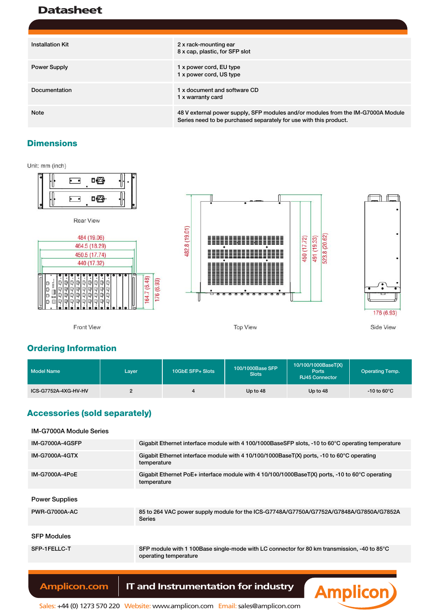| <b>Installation Kit</b> | 2 x rack-mounting ear<br>8 x cap, plastic, for SFP slot                                                                                               |
|-------------------------|-------------------------------------------------------------------------------------------------------------------------------------------------------|
| <b>Power Supply</b>     | 1 x power cord, EU type<br>1 x power cord, US type                                                                                                    |
| Documentation           | 1 x document and software CD<br>1 x warranty card                                                                                                     |
| <b>Note</b>             | 48 V external power supply, SFP modules and/or modules from the IM-G7000A Module<br>Series need to be purchased separately for use with this product. |

#### **Dimensions**

Unit: mm (inch)



### **Ordering Information**

| Model Name           | Laver | 10GbE SFP+ Slots | 100/1000Base SFP<br><b>Slots</b> | 10/100/1000BaseT(X)<br>Ports<br><b>RJ45 Connector</b> | <b>Operating Temp.</b>  |
|----------------------|-------|------------------|----------------------------------|-------------------------------------------------------|-------------------------|
| ICS-G7752A-4XG-HV-HV | C     |                  | Up to 48                         | Up to 48                                              | $-10$ to 60 $\degree$ C |

### **Accessories (sold separately)**

| <b>IM-G7000A Module Series</b> |                                                                                                                      |
|--------------------------------|----------------------------------------------------------------------------------------------------------------------|
| <b>IM-G7000A-4GSFP</b>         | Gigabit Ethernet interface module with 4 100/1000BaseSFP slots, -10 to 60°C operating temperature                    |
| <b>IM-G7000A-4GTX</b>          | Gigabit Ethernet interface module with 4 10/100/1000BaseT(X) ports, -10 to 60°C operating<br>temperature             |
| IM-G7000A-4PoE                 | Gigabit Ethernet PoE+ interface module with 4 10/100/1000BaseT(X) ports, -10 to 60°C operating<br>temperature        |
| <b>Power Supplies</b>          |                                                                                                                      |
|                                |                                                                                                                      |
| <b>PWR-G7000A-AC</b>           | 85 to 264 VAC power supply module for the ICS-G7748A/G7750A/G7752A/G7848A/G7850A/G7852A<br><b>Series</b>             |
|                                |                                                                                                                      |
| <b>SFP Modules</b>             |                                                                                                                      |
| SFP-1FELLC-T                   | SFP module with 1 100Base single-mode with LC connector for 80 km transmission, -40 to 85°C<br>operating temperature |
|                                |                                                                                                                      |

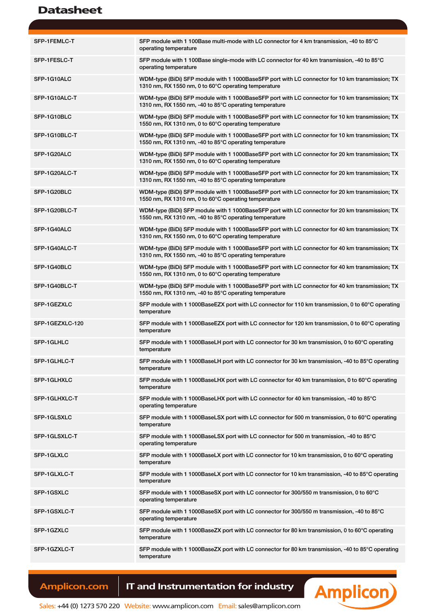| SFP-1FEMLC-T    | SFP module with 1 100Base multi-mode with LC connector for 4 km transmission, -40 to 85°C<br>operating temperature                                        |
|-----------------|-----------------------------------------------------------------------------------------------------------------------------------------------------------|
| SFP-1FESLC-T    | SFP module with 1 100Base single-mode with LC connector for 40 km transmission, -40 to 85°C<br>operating temperature                                      |
| SFP-1G10ALC     | WDM-type (BiDi) SFP module with 1 1000BaseSFP port with LC connector for 10 km transmission; TX<br>1310 nm, RX 1550 nm, 0 to 60°C operating temperature   |
| SFP-1G10ALC-T   | WDM-type (BiDi) SFP module with 1 1000BaseSFP port with LC connector for 10 km transmission; TX<br>1310 nm, RX 1550 nm, -40 to 85°C operating temperature |
| SFP-1G10BLC     | WDM-type (BiDi) SFP module with 1 1000BaseSFP port with LC connector for 10 km transmission; TX<br>1550 nm, RX 1310 nm, 0 to 60°C operating temperature   |
| SFP-1G10BLC-T   | WDM-type (BiDi) SFP module with 1 1000BaseSFP port with LC connector for 10 km transmission; TX<br>1550 nm, RX 1310 nm, -40 to 85°C operating temperature |
| SFP-1G20ALC     | WDM-type (BiDi) SFP module with 1 1000BaseSFP port with LC connector for 20 km transmission; TX<br>1310 nm, RX 1550 nm, 0 to 60°C operating temperature   |
| SFP-1G20ALC-T   | WDM-type (BiDi) SFP module with 1 1000BaseSFP port with LC connector for 20 km transmission; TX<br>1310 nm, RX 1550 nm, -40 to 85°C operating temperature |
| SFP-1G20BLC     | WDM-type (BiDi) SFP module with 1 1000BaseSFP port with LC connector for 20 km transmission; TX<br>1550 nm, RX 1310 nm, 0 to 60°C operating temperature   |
| SFP-1G20BLC-T   | WDM-type (BiDi) SFP module with 1 1000BaseSFP port with LC connector for 20 km transmission; TX<br>1550 nm, RX 1310 nm, -40 to 85°C operating temperature |
| SFP-1G40ALC     | WDM-type (BiDi) SFP module with 1 1000BaseSFP port with LC connector for 40 km transmission; TX<br>1310 nm, RX 1550 nm, 0 to 60°C operating temperature   |
| SFP-1G40ALC-T   | WDM-type (BiDi) SFP module with 1 1000BaseSFP port with LC connector for 40 km transmission; TX<br>1310 nm, RX 1550 nm, -40 to 85°C operating temperature |
| SFP-1G40BLC     | WDM-type (BiDi) SFP module with 1 1000BaseSFP port with LC connector for 40 km transmission; TX<br>1550 nm, RX 1310 nm, 0 to 60°C operating temperature   |
| SFP-1G40BLC-T   | WDM-type (BiDi) SFP module with 1 1000BaseSFP port with LC connector for 40 km transmission; TX<br>1550 nm, RX 1310 nm, -40 to 85°C operating temperature |
| SFP-1GEZXLC     | SFP module with 1 1000BaseEZX port with LC connector for 110 km transmission, 0 to 60°C operating<br>temperature                                          |
| SFP-1GEZXLC-120 | SFP module with 1 1000BaseEZX port with LC connector for 120 km transmission, 0 to 60°C operating<br>temperature                                          |
| SFP-1GLHLC      | SFP module with 1 1000BaseLH port with LC connector for 30 km transmission, 0 to 60°C operating<br>temperature                                            |
| SFP-1GLHLC-T    | SFP module with 1 1000BaseLH port with LC connector for 30 km transmission, -40 to 85 $\degree$ C operating<br>temperature                                |
| SFP-1GLHXLC     | SFP module with 1 1000BaseLHX port with LC connector for 40 km transmission, 0 to 60 $\degree$ C operating<br>temperature                                 |
| SFP-1GLHXLC-T   | SFP module with 1 1000BaseLHX port with LC connector for 40 km transmission, -40 to 85°C<br>operating temperature                                         |
| SFP-1GLSXLC     | SFP module with 1 1000BaseLSX port with LC connector for 500 m transmission, 0 to 60 $\degree$ C operating<br>temperature                                 |
| SFP-1GLSXLC-T   | SFP module with 1 1000BaseLSX port with LC connector for 500 m transmission, -40 to 85°C<br>operating temperature                                         |
| SFP-1GLXLC      | SFP module with 1 1000BaseLX port with LC connector for 10 km transmission, 0 to 60 $\degree$ C operating<br>temperature                                  |
| SFP-1GLXLC-T    | SFP module with 1 1000BaseLX port with LC connector for 10 km transmission, -40 to 85 $\degree$ C operating<br>temperature                                |
| SFP-1GSXLC      | SFP module with 1 1000BaseSX port with LC connector for 300/550 m transmission, 0 to 60°C<br>operating temperature                                        |
| SFP-1GSXLC-T    | SFP module with 1 1000BaseSX port with LC connector for 300/550 m transmission, -40 to 85°C<br>operating temperature                                      |
| SFP-1GZXLC      | SFP module with 1 1000BaseZX port with LC connector for 80 km transmission, 0 to 60 $\degree$ C operating<br>temperature                                  |
| SFP-1GZXLC-T    | SFP module with 1 1000BaseZX port with LC connector for 80 km transmission, -40 to 85 $\degree$ C operating<br>temperature                                |